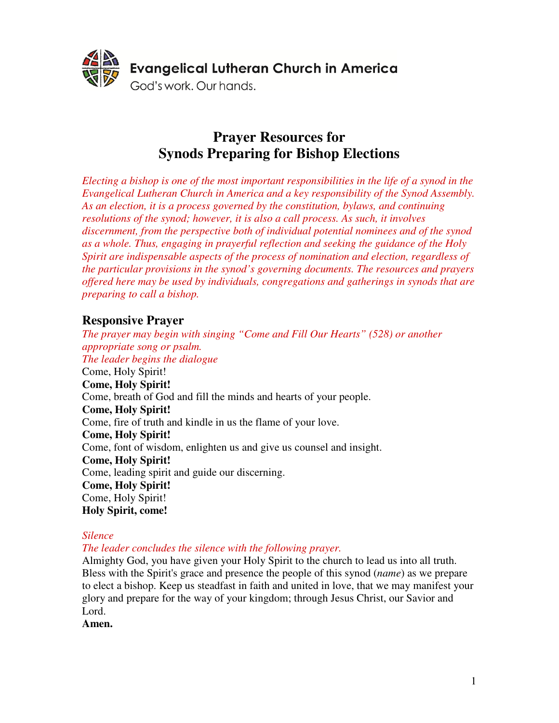

# **Prayer Resources for Synods Preparing for Bishop Elections**

*Electing a bishop is one of the most important responsibilities in the life of a synod in the Evangelical Lutheran Church in America and a key responsibility of the Synod Assembly. As an election, it is a process governed by the constitution, bylaws, and continuing resolutions of the synod; however, it is also a call process. As such, it involves discernment, from the perspective both of individual potential nominees and of the synod as a whole. Thus, engaging in prayerful reflection and seeking the guidance of the Holy Spirit are indispensable aspects of the process of nomination and election, regardless of the particular provisions in the synod's governing documents. The resources and prayers offered here may be used by individuals, congregations and gatherings in synods that are preparing to call a bishop.* 

# **Responsive Prayer**

*The prayer may begin with singing "Come and Fill Our Hearts" (528) or another appropriate song or psalm. The leader begins the dialogue*  Come, Holy Spirit! **Come, Holy Spirit!**  Come, breath of God and fill the minds and hearts of your people. **Come, Holy Spirit!**  Come, fire of truth and kindle in us the flame of your love. **Come, Holy Spirit!**  Come, font of wisdom, enlighten us and give us counsel and insight. **Come, Holy Spirit!**  Come, leading spirit and guide our discerning. **Come, Holy Spirit!**  Come, Holy Spirit! **Holy Spirit, come!** 

### *Silence*

*The leader concludes the silence with the following prayer.* 

Almighty God, you have given your Holy Spirit to the church to lead us into all truth. Bless with the Spirit's grace and presence the people of this synod (*name*) as we prepare to elect a bishop. Keep us steadfast in faith and united in love, that we may manifest your glory and prepare for the way of your kingdom; through Jesus Christ, our Savior and Lord.

**Amen.**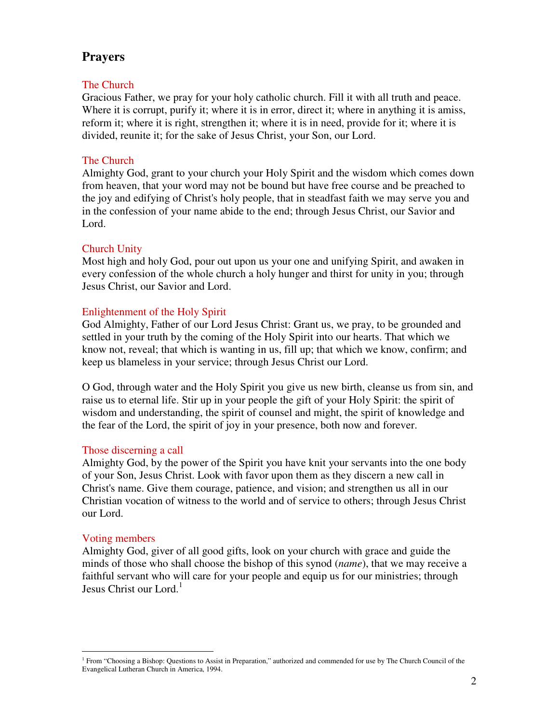# **Prayers**

### The Church

Gracious Father, we pray for your holy catholic church. Fill it with all truth and peace. Where it is corrupt, purify it; where it is in error, direct it; where in anything it is amiss, reform it; where it is right, strengthen it; where it is in need, provide for it; where it is divided, reunite it; for the sake of Jesus Christ, your Son, our Lord.

#### The Church

Almighty God, grant to your church your Holy Spirit and the wisdom which comes down from heaven, that your word may not be bound but have free course and be preached to the joy and edifying of Christ's holy people, that in steadfast faith we may serve you and in the confession of your name abide to the end; through Jesus Christ, our Savior and Lord.

#### Church Unity

Most high and holy God, pour out upon us your one and unifying Spirit, and awaken in every confession of the whole church a holy hunger and thirst for unity in you; through Jesus Christ, our Savior and Lord.

### Enlightenment of the Holy Spirit

God Almighty, Father of our Lord Jesus Christ: Grant us, we pray, to be grounded and settled in your truth by the coming of the Holy Spirit into our hearts. That which we know not, reveal; that which is wanting in us, fill up; that which we know, confirm; and keep us blameless in your service; through Jesus Christ our Lord.

O God, through water and the Holy Spirit you give us new birth, cleanse us from sin, and raise us to eternal life. Stir up in your people the gift of your Holy Spirit: the spirit of wisdom and understanding, the spirit of counsel and might, the spirit of knowledge and the fear of the Lord, the spirit of joy in your presence, both now and forever.

#### Those discerning a call

Almighty God, by the power of the Spirit you have knit your servants into the one body of your Son, Jesus Christ. Look with favor upon them as they discern a new call in Christ's name. Give them courage, patience, and vision; and strengthen us all in our Christian vocation of witness to the world and of service to others; through Jesus Christ our Lord.

#### Voting members

Almighty God, giver of all good gifts, look on your church with grace and guide the minds of those who shall choose the bishop of this synod (*name*), that we may receive a faithful servant who will care for your people and equip us for our ministries; through Jesus Christ our Lord. $<sup>1</sup>$ </sup>

 $\overline{a}$ <sup>1</sup> From "Choosing a Bishop: Questions to Assist in Preparation," authorized and commended for use by The Church Council of the Evangelical Lutheran Church in America, 1994.